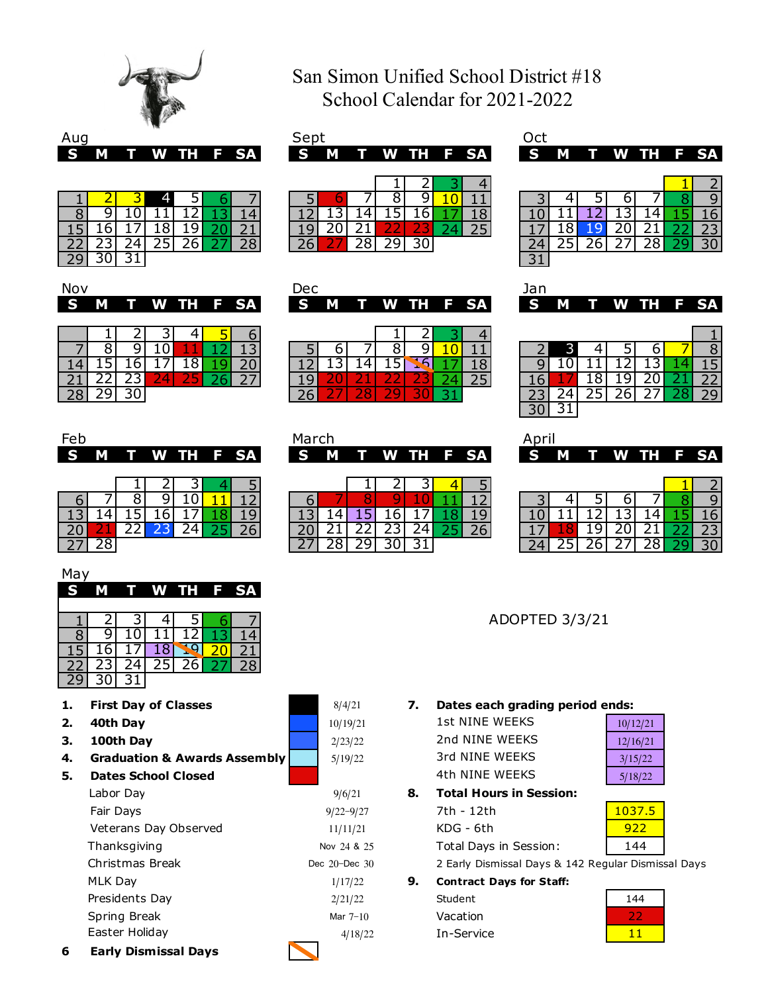

# San Simon Unified School District #18 School Calendar for 2021-2022

|          |   |  |  |  |  |             |  |  |  |  |                 |  |  | --- |  |  |  |                 |  |    |
|----------|---|--|--|--|--|-------------|--|--|--|--|-----------------|--|--|-----|--|--|--|-----------------|--|----|
| <b>S</b> | M |  |  |  |  | T W TH F SA |  |  |  |  | S M T W TH F SA |  |  |     |  |  |  | S M T W TH F SA |  |    |
|          |   |  |  |  |  |             |  |  |  |  |                 |  |  |     |  |  |  |                 |  |    |
|          |   |  |  |  |  |             |  |  |  |  |                 |  |  |     |  |  |  |                 |  |    |
|          |   |  |  |  |  |             |  |  |  |  |                 |  |  |     |  |  |  |                 |  |    |
|          |   |  |  |  |  |             |  |  |  |  |                 |  |  |     |  |  |  |                 |  |    |
|          |   |  |  |  |  |             |  |  |  |  |                 |  |  |     |  |  |  |                 |  |    |
|          |   |  |  |  |  |             |  |  |  |  |                 |  |  |     |  |  |  |                 |  | 30 |
| חכ       |   |  |  |  |  |             |  |  |  |  |                 |  |  |     |  |  |  |                 |  |    |

| S. | M |  | T W TH F SA |  | IS M |  |  | T W TH F SA | S M T W TH F SA |  |  |    |
|----|---|--|-------------|--|------|--|--|-------------|-----------------|--|--|----|
|    |   |  |             |  |      |  |  |             |                 |  |  |    |
|    |   |  |             |  |      |  |  |             |                 |  |  | q  |
|    |   |  |             |  |      |  |  |             |                 |  |  | 6  |
|    |   |  |             |  |      |  |  |             |                 |  |  |    |
|    |   |  |             |  |      |  |  |             |                 |  |  | 30 |
| 29 |   |  |             |  |      |  |  |             | ┑               |  |  |    |
|    |   |  |             |  |      |  |  |             |                 |  |  |    |

| ┑                        |  |        |  |
|--------------------------|--|--------|--|
| $\overline{\phantom{0}}$ |  | н<br>н |  |

|          |  | . .                           |  |  |     |    |        |     |    |   |          |     |    |  | O |
|----------|--|-------------------------------|--|--|-----|----|--------|-----|----|---|----------|-----|----|--|---|
| 14       |  |                               |  |  |     |    |        |     |    |   |          |     |    |  |   |
| ำ∙<br>ᅀᄔ |  | <b><i><u>Property</u></i></b> |  |  | $-$ | __ | $\sim$ | $-$ | -- |   |          |     |    |  |   |
| 28       |  |                               |  |  |     |    |        |     |    |   | <u>_</u> | ر ے | -- |  |   |
|          |  |                               |  |  |     |    |        |     |    | - |          |     |    |  |   |

| April |                        |    |        |         |   |
|-------|------------------------|----|--------|---------|---|
| G     | L<br>م المنابع المنابع | WV | .<br>ш | 1 = 1 = | Ğ |

|                 |  |  |        |  |  |            |  |    |  |   |   |     |    | ∽                    |
|-----------------|--|--|--------|--|--|------------|--|----|--|---|---|-----|----|----------------------|
|                 |  |  |        |  |  |            |  |    |  |   |   |     |    | q                    |
| --              |  |  |        |  |  |            |  |    |  |   |   |     |    | 66                   |
| $\overline{2}C$ |  |  | $\sim$ |  |  | <u>_ _</u> |  | ∠◡ |  | - |   |     |    | 72.<br>$\sim$ $\sim$ |
| っっ<br>ر ے       |  |  |        |  |  | JU         |  |    |  |   | ∽ | - - | -- | 30 <sup>1</sup>      |

ADOPTED 3/3/21

## **1. 7. Dates each grading period ends:**

| 1st NINE WEEKS |  |
|----------------|--|
| 2nd NINF WFFKS |  |
| 3rd NINF WFFKS |  |
| 4th NINF WFFKS |  |
|                |  |

| 10/12/21 |
|----------|
| 12/16/21 |
| 3/15/22  |
| 5/18/22  |

| 8. |  | <b>Total Hours in Session:</b> |
|----|--|--------------------------------|
|----|--|--------------------------------|

| 7th - 12th             | 1037.5 |
|------------------------|--------|
| $KDG - 6th$            | 922    |
| Total Days in Session: | 144    |

2 Early Dismissal Days & 142 Regular Dismissal Days

- **Contract Days for Staff:**
	- In-Service Vacation Student



|  |  |  | S M T W TH F SA |
|--|--|--|-----------------|
|  |  |  |                 |
|  |  |  |                 |

|                    |  |    |            | $\sim$     |    |     |           | o.   | - 1 |            | $\perp$ |    |
|--------------------|--|----|------------|------------|----|-----|-----------|------|-----|------------|---------|----|
|                    |  |    |            |            |    | 121 | 141       |      | 16  |            | 18      | 10 |
| $\boxed{15}$ 16 17 |  |    | 19         | <b>201</b> | 21 | 191 | 20 21     |      |     | $\nabla 4$ | , 25    |    |
| 22  23  24         |  | 25 | <b>261</b> |            | 28 | 26  | <b>28</b> | -291 | 30  |            |         | 74 |
| 29                 |  |    |            |            |    |     |           |      |     |            |         |    |

| Nov |  |  |  |  |  |                                 |  |  |  |  |  |  |  |  |                  |  |  |  |  |  |  |
|-----|--|--|--|--|--|---------------------------------|--|--|--|--|--|--|--|--|------------------|--|--|--|--|--|--|
|     |  |  |  |  |  | S M T W TH F SA S M T W TH F SA |  |  |  |  |  |  |  |  | <b>SMTWTHFSA</b> |  |  |  |  |  |  |

|    |     | ם.              | 1 O I           |                 |                 |
|----|-----|-----------------|-----------------|-----------------|-----------------|
|    | 151 | 16 <sup>1</sup> | 17 <sub>l</sub> | $\overline{18}$ | $\overline{20}$ |
| 21 |     | $22$   23       |                 |                 | $27$            |
| 28 |     |                 |                 |                 |                 |

| Fer             |      |        |   |  |  | March |  |  |  |        |  |                   |  |
|-----------------|------|--------|---|--|--|-------|--|--|--|--------|--|-------------------|--|
| S M T W TH F SA |      |        |   |  |  |       |  |  |  |        |  | IS M T W TH F SAI |  |
|                 | $ -$ | $\sim$ | . |  |  |       |  |  |  | $\sim$ |  |                   |  |

|                 |                     | 81 | $9 \mid$ | 10 |                                                                        | 12 |
|-----------------|---------------------|----|----------|----|------------------------------------------------------------------------|----|
| 13 <sup>1</sup> | $\cdot$ 14] $\cdot$ |    |          |    | $15$ 16 17 18                                                          |    |
|                 | $20$ 21             |    |          |    | $\begin{array}{ c c c c c c }\n\hline\n22 & 23 & 24 & 25\n\end{array}$ | 26 |
|                 |                     |    |          |    |                                                                        |    |

| May |    |    |      |           |                 |
|-----|----|----|------|-----------|-----------------|
| S   | м  |    | W TH |           | F SA            |
|     |    |    |      |           |                 |
|     | 2  | 3  |      | 5         |                 |
| ٩   | 9  | U  |      | $\cdot$ 2 |                 |
|     | n  |    | 18   |           |                 |
|     | 23 | 24 | 25   | 26        | $\overline{28}$ |
|     |    |    |      |           |                 |

- **First Day of Classes**
- **2. 40th Day**
- **3. 100th Day**
- **4. Graduation & Awards Assembly**

| 5. | <b>Dates School Closed</b> |                   |    |
|----|----------------------------|-------------------|----|
|    | Labor Day                  | 9/6/21            | 8. |
|    | Fair Days                  | $9/22 - 9/27$     |    |
|    | Veterans Day Observed      | 11/11/21          |    |
|    | Thanksgiving               | Nov 24 & 25       |    |
|    | Christmas Break            | Dec $20 - Dec$ 30 |    |
|    | MLK Day                    | 1/17/22           | 9. |
|    | Presidents Day             | 2/21/22           |    |
|    | Spring Break               | Mar $7-10$        |    |
|    | Easter Holiday             | 4/18/22           |    |
|    |                            |                   |    |

**6 Early Dismissal Days**

| S —       |  | M T W TH F SA |  |  | S M T W TH F SA |  |  |  | S M T W TH F SA |  |  |  |
|-----------|--|---------------|--|--|-----------------|--|--|--|-----------------|--|--|--|
|           |  |               |  |  |                 |  |  |  |                 |  |  |  |
|           |  |               |  |  |                 |  |  |  |                 |  |  |  |
|           |  |               |  |  |                 |  |  |  |                 |  |  |  |
| $\bigcap$ |  |               |  |  |                 |  |  |  |                 |  |  |  |

5/19/22

2/23/22

 $10/19/21$ 

8/4/21

|       |     | TOI TYL TOI TAI |  | . |
|-------|-----|-----------------|--|---|
|       |     | 23 24 25 26     |  |   |
| $30-$ | 311 |                 |  |   |
|       |     |                 |  |   |

| n n r<br>5 | SA | i 200 | <b>Alip</b> | w |  |
|------------|----|-------|-------------|---|--|
|            |    |       |             |   |  |
|            |    |       |             |   |  |
|            |    |       |             |   |  |